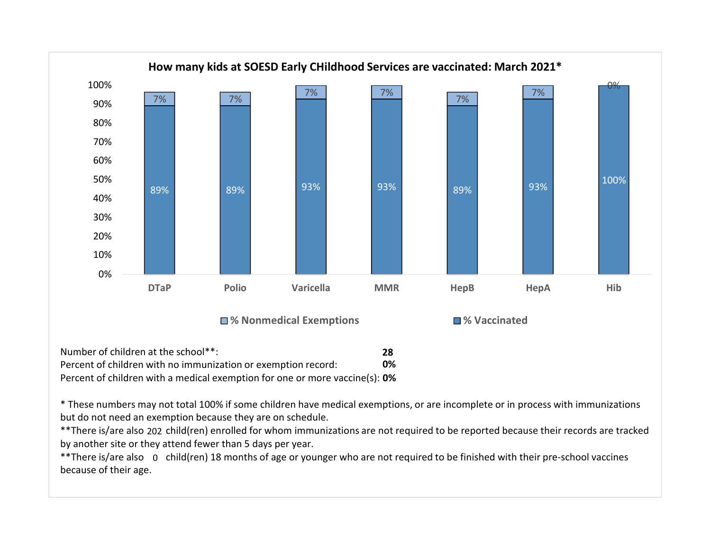

| Number of children at the school**:                                         | 28 |
|-----------------------------------------------------------------------------|----|
| Percent of children with no immunization or exemption record:               | 0% |
| Percent of children with a medical exemption for one or more vaccine(s): 0% |    |

\* These numbers may not total 100% if some children have medical exemptions, or are incomplete or in process with immunizations but do not need an exemption because they are on schedule.

by another site or they attend fewer than 5 days per year. \*\* There is/are also 202 child(ren) enrolled for whom immunizations are not required to be reported because their records are tracked

\*\*There is/are also o child(ren) 18 months of age or younger who are not required to be finished with their pre-school vaccines and the interational vaccines and the interational vaccines and interational values are intera because of their age.